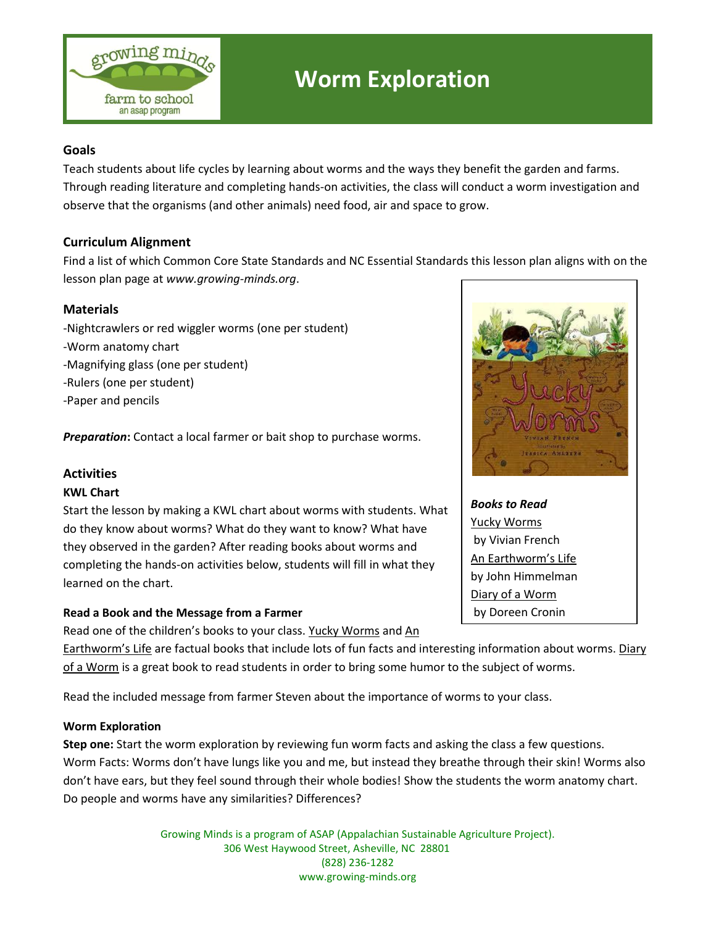

# **Worm Exploration**

## **Goals**

Teach students about life cycles by learning about worms and the ways they benefit the garden and farms. Through reading literature and completing hands-on activities, the class will conduct a worm investigation and observe that the organisms (and other animals) need food, air and space to grow.

## **Curriculum Alignment**

Find a list of which Common Core State Standards and NC Essential Standards this lesson plan aligns with on the lesson plan page at *www.growing-minds.org*.

## **Materials**

- -Nightcrawlers or red wiggler worms (one per student)
- -Worm anatomy chart
- -Magnifying glass (one per student)
- -Rulers (one per student)
- -Paper and pencils

**Preparation:** Contact a local farmer or bait shop to purchase worms.

#### **Activities**

#### **KWL Chart**

Start the lesson by making a KWL chart about worms with students. What do they know about worms? What do they want to know? What have they observed in the garden? After reading books about worms and completing the hands-on activities below, students will fill in what they learned on the chart.

## **Read a Book and the Message from a Farmer**

Read one of the children's books to your class. Yucky Worms and An

Earthworm's Life are factual books that include lots of fun facts and interesting information about worms. Diary of a Worm is a great book to read students in order to bring some humor to the subject of worms.

Read the included message from farmer Steven about the importance of worms to your class.

#### **Worm Exploration**

**Step one:** Start the worm exploration by reviewing fun worm facts and asking the class a few questions. Worm Facts: Worms don't have lungs like you and me, but instead they breathe through their skin! Worms also don't have ears, but they feel sound through their whole bodies! Show the students the worm anatomy chart. Do people and worms have any similarities? Differences?

> Growing Minds is a program of ASAP (Appalachian Sustainable Agriculture Project). 306 West Haywood Street, Asheville, NC 28801 (828) 236-1282 www.growing-minds.org



*Books to Read* Yucky Worms by Vivian French An Earthworm's Life by John Himmelman Diary of a Worm by Doreen Cronin